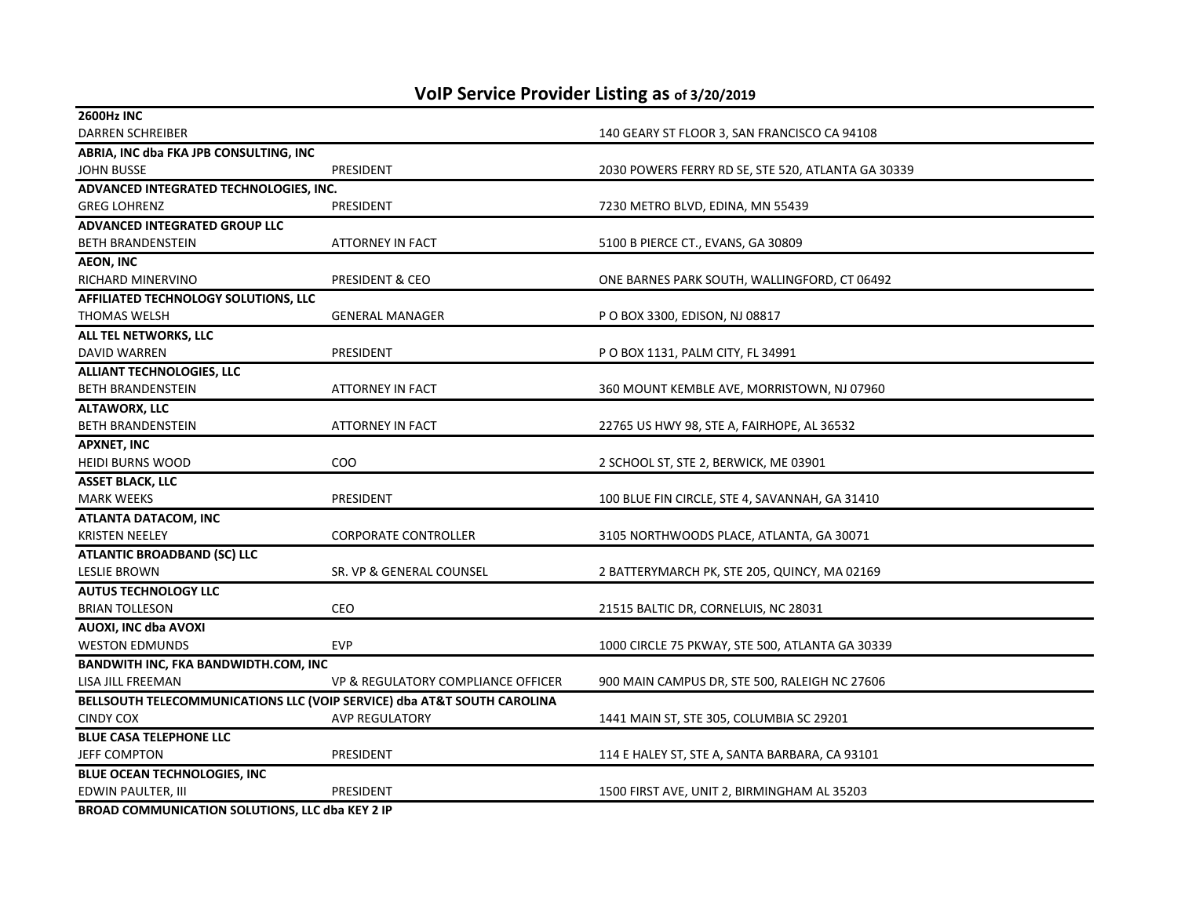| <b>2600Hz INC</b>                               |                                                                         |                                                    |
|-------------------------------------------------|-------------------------------------------------------------------------|----------------------------------------------------|
| <b>DARREN SCHREIBER</b>                         |                                                                         | 140 GEARY ST FLOOR 3, SAN FRANCISCO CA 94108       |
| ABRIA, INC dba FKA JPB CONSULTING, INC          |                                                                         |                                                    |
| <b>JOHN BUSSE</b>                               | <b>PRESIDENT</b>                                                        | 2030 POWERS FERRY RD SE, STE 520, ATLANTA GA 30339 |
| ADVANCED INTEGRATED TECHNOLOGIES, INC.          |                                                                         |                                                    |
| <b>GREG LOHRENZ</b>                             | PRESIDENT                                                               | 7230 METRO BLVD, EDINA, MN 55439                   |
| ADVANCED INTEGRATED GROUP LLC                   |                                                                         |                                                    |
| <b>BETH BRANDENSTEIN</b>                        | <b>ATTORNEY IN FACT</b>                                                 | 5100 B PIERCE CT., EVANS, GA 30809                 |
| AEON, INC                                       |                                                                         |                                                    |
| RICHARD MINERVINO                               | PRESIDENT & CEO                                                         | ONE BARNES PARK SOUTH, WALLINGFORD, CT 06492       |
| AFFILIATED TECHNOLOGY SOLUTIONS, LLC            |                                                                         |                                                    |
| THOMAS WELSH                                    | <b>GENERAL MANAGER</b>                                                  | P O BOX 3300, EDISON, NJ 08817                     |
| ALL TEL NETWORKS, LLC                           |                                                                         |                                                    |
| DAVID WARREN                                    | PRESIDENT                                                               | P O BOX 1131, PALM CITY, FL 34991                  |
| <b>ALLIANT TECHNOLOGIES, LLC</b>                |                                                                         |                                                    |
| <b>BETH BRANDENSTEIN</b>                        | <b>ATTORNEY IN FACT</b>                                                 | 360 MOUNT KEMBLE AVE, MORRISTOWN, NJ 07960         |
| <b>ALTAWORX, LLC</b>                            |                                                                         |                                                    |
| <b>BETH BRANDENSTEIN</b>                        | <b>ATTORNEY IN FACT</b>                                                 | 22765 US HWY 98, STE A, FAIRHOPE, AL 36532         |
| <b>APXNET, INC</b>                              |                                                                         |                                                    |
| <b>HEIDI BURNS WOOD</b>                         | COO                                                                     | 2 SCHOOL ST, STE 2, BERWICK, ME 03901              |
| <b>ASSET BLACK, LLC</b>                         |                                                                         |                                                    |
| <b>MARK WEEKS</b>                               | PRESIDENT                                                               | 100 BLUE FIN CIRCLE, STE 4, SAVANNAH, GA 31410     |
| ATLANTA DATACOM, INC                            |                                                                         |                                                    |
| <b>KRISTEN NEELEY</b>                           | <b>CORPORATE CONTROLLER</b>                                             | 3105 NORTHWOODS PLACE, ATLANTA, GA 30071           |
| <b>ATLANTIC BROADBAND (SC) LLC</b>              |                                                                         |                                                    |
| <b>LESLIE BROWN</b>                             | SR. VP & GENERAL COUNSEL                                                | 2 BATTERYMARCH PK, STE 205, QUINCY, MA 02169       |
| <b>AUTUS TECHNOLOGY LLC</b>                     |                                                                         |                                                    |
| <b>BRIAN TOLLESON</b>                           | <b>CEO</b>                                                              | 21515 BALTIC DR, CORNELUIS, NC 28031               |
| AUOXI, INC dba AVOXI                            |                                                                         |                                                    |
| <b>WESTON EDMUNDS</b>                           | <b>EVP</b>                                                              | 1000 CIRCLE 75 PKWAY, STE 500, ATLANTA GA 30339    |
| <b>BANDWITH INC, FKA BANDWIDTH.COM, INC</b>     |                                                                         |                                                    |
| LISA JILL FREEMAN                               | VP & REGULATORY COMPLIANCE OFFICER                                      | 900 MAIN CAMPUS DR, STE 500, RALEIGH NC 27606      |
|                                                 | BELLSOUTH TELECOMMUNICATIONS LLC (VOIP SERVICE) dba AT&T SOUTH CAROLINA |                                                    |
| <b>CINDY COX</b>                                | <b>AVP REGULATORY</b>                                                   | 1441 MAIN ST, STE 305, COLUMBIA SC 29201           |
| <b>BLUE CASA TELEPHONE LLC</b>                  |                                                                         |                                                    |
| <b>JEFF COMPTON</b>                             | PRESIDENT                                                               | 114 E HALEY ST, STE A, SANTA BARBARA, CA 93101     |
| BLUE OCEAN TECHNOLOGIES, INC                    |                                                                         |                                                    |
| EDWIN PAULTER, III                              | PRESIDENT                                                               | 1500 FIRST AVE, UNIT 2, BIRMINGHAM AL 35203        |
| BROAD COMMUNICATION SOLUTIONS, LLC dba KEY 2 IP |                                                                         |                                                    |

## **VoIP Service Provider Listing as of 3/20/2019**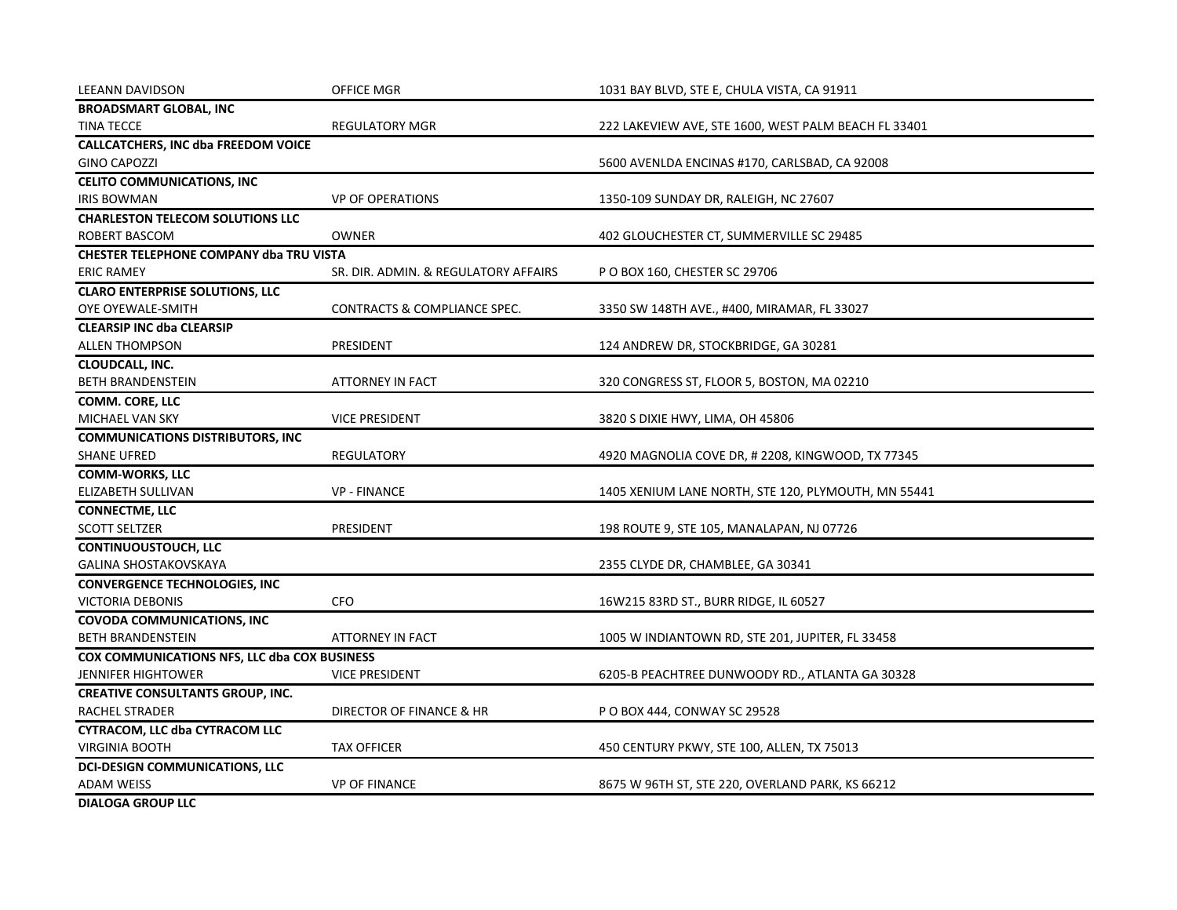| <b>LEEANN DAVIDSON</b>                       | <b>OFFICE MGR</b>                    | 1031 BAY BLVD, STE E, CHULA VISTA, CA 91911          |
|----------------------------------------------|--------------------------------------|------------------------------------------------------|
| <b>BROADSMART GLOBAL, INC</b>                |                                      |                                                      |
| <b>TINA TECCE</b>                            | <b>REGULATORY MGR</b>                | 222 LAKEVIEW AVE, STE 1600, WEST PALM BEACH FL 33401 |
| <b>CALLCATCHERS, INC dba FREEDOM VOICE</b>   |                                      |                                                      |
| <b>GINO CAPOZZI</b>                          |                                      | 5600 AVENLDA ENCINAS #170, CARLSBAD, CA 92008        |
| <b>CELITO COMMUNICATIONS, INC</b>            |                                      |                                                      |
| <b>IRIS BOWMAN</b>                           | <b>VP OF OPERATIONS</b>              | 1350-109 SUNDAY DR, RALEIGH, NC 27607                |
| <b>CHARLESTON TELECOM SOLUTIONS LLC</b>      |                                      |                                                      |
| ROBERT BASCOM                                | <b>OWNER</b>                         | 402 GLOUCHESTER CT, SUMMERVILLE SC 29485             |
| CHESTER TELEPHONE COMPANY dba TRU VISTA      |                                      |                                                      |
| <b>ERIC RAMEY</b>                            | SR. DIR. ADMIN. & REGULATORY AFFAIRS | P O BOX 160, CHESTER SC 29706                        |
| <b>CLARO ENTERPRISE SOLUTIONS, LLC</b>       |                                      |                                                      |
| OYE OYEWALE-SMITH                            | CONTRACTS & COMPLIANCE SPEC.         | 3350 SW 148TH AVE., #400, MIRAMAR, FL 33027          |
| <b>CLEARSIP INC dba CLEARSIP</b>             |                                      |                                                      |
| <b>ALLEN THOMPSON</b>                        | PRESIDENT                            | 124 ANDREW DR, STOCKBRIDGE, GA 30281                 |
| CLOUDCALL, INC.                              |                                      |                                                      |
| <b>BETH BRANDENSTEIN</b>                     | <b>ATTORNEY IN FACT</b>              | 320 CONGRESS ST, FLOOR 5, BOSTON, MA 02210           |
| <b>COMM. CORE, LLC</b>                       |                                      |                                                      |
| MICHAEL VAN SKY                              | <b>VICE PRESIDENT</b>                | 3820 S DIXIE HWY, LIMA, OH 45806                     |
| <b>COMMUNICATIONS DISTRIBUTORS, INC</b>      |                                      |                                                      |
| <b>SHANE UFRED</b>                           | <b>REGULATORY</b>                    | 4920 MAGNOLIA COVE DR, # 2208, KINGWOOD, TX 77345    |
| <b>COMM-WORKS, LLC</b>                       |                                      |                                                      |
| ELIZABETH SULLIVAN                           | <b>VP - FINANCE</b>                  | 1405 XENIUM LANE NORTH, STE 120, PLYMOUTH, MN 55441  |
| <b>CONNECTME, LLC</b>                        |                                      |                                                      |
| <b>SCOTT SELTZER</b>                         | PRESIDENT                            | 198 ROUTE 9, STE 105, MANALAPAN, NJ 07726            |
| <b>CONTINUOUSTOUCH, LLC</b>                  |                                      |                                                      |
| <b>GALINA SHOSTAKOVSKAYA</b>                 |                                      | 2355 CLYDE DR, CHAMBLEE, GA 30341                    |
| <b>CONVERGENCE TECHNOLOGIES, INC</b>         |                                      |                                                      |
| VICTORIA DEBONIS                             | <b>CFO</b>                           | 16W215 83RD ST., BURR RIDGE, IL 60527                |
| <b>COVODA COMMUNICATIONS, INC</b>            |                                      |                                                      |
| <b>BETH BRANDENSTEIN</b>                     | <b>ATTORNEY IN FACT</b>              | 1005 W INDIANTOWN RD, STE 201, JUPITER, FL 33458     |
| COX COMMUNICATIONS NFS, LLC dba COX BUSINESS |                                      |                                                      |
| JENNIFER HIGHTOWER                           | <b>VICE PRESIDENT</b>                | 6205-B PEACHTREE DUNWOODY RD., ATLANTA GA 30328      |
| <b>CREATIVE CONSULTANTS GROUP, INC.</b>      |                                      |                                                      |
| <b>RACHEL STRADER</b>                        | <b>DIRECTOR OF FINANCE &amp; HR</b>  | P O BOX 444, CONWAY SC 29528                         |
| <b>CYTRACOM, LLC dba CYTRACOM LLC</b>        |                                      |                                                      |
| <b>VIRGINIA BOOTH</b>                        | <b>TAX OFFICER</b>                   | 450 CENTURY PKWY, STE 100, ALLEN, TX 75013           |
| <b>DCI-DESIGN COMMUNICATIONS, LLC</b>        |                                      |                                                      |
| <b>ADAM WEISS</b>                            | <b>VP OF FINANCE</b>                 | 8675 W 96TH ST, STE 220, OVERLAND PARK, KS 66212     |
| <b>DIALOGA GROUP LLC</b>                     |                                      |                                                      |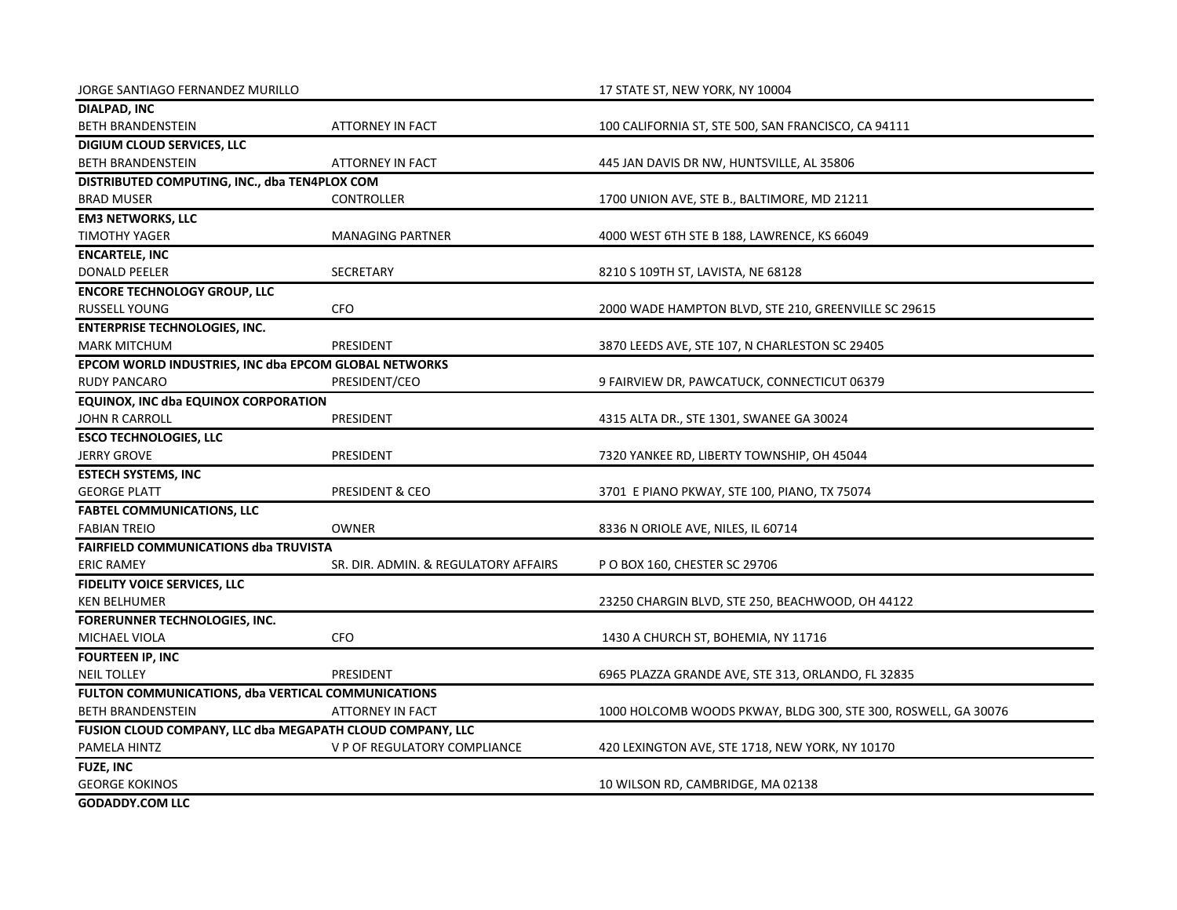| JORGE SANTIAGO FERNANDEZ MURILLO                          |                                      | 17 STATE ST, NEW YORK, NY 10004                                |
|-----------------------------------------------------------|--------------------------------------|----------------------------------------------------------------|
| DIALPAD, INC                                              |                                      |                                                                |
| <b>BETH BRANDENSTEIN</b>                                  | <b>ATTORNEY IN FACT</b>              | 100 CALIFORNIA ST, STE 500, SAN FRANCISCO, CA 94111            |
| DIGIUM CLOUD SERVICES, LLC                                |                                      |                                                                |
| <b>BETH BRANDENSTEIN</b>                                  | <b>ATTORNEY IN FACT</b>              | 445 JAN DAVIS DR NW, HUNTSVILLE, AL 35806                      |
| DISTRIBUTED COMPUTING, INC., dba TEN4PLOX COM             |                                      |                                                                |
| <b>BRAD MUSER</b>                                         | <b>CONTROLLER</b>                    | 1700 UNION AVE, STE B., BALTIMORE, MD 21211                    |
| <b>EM3 NETWORKS, LLC</b>                                  |                                      |                                                                |
| <b>TIMOTHY YAGER</b>                                      | <b>MANAGING PARTNER</b>              | 4000 WEST 6TH STE B 188, LAWRENCE, KS 66049                    |
| <b>ENCARTELE, INC</b>                                     |                                      |                                                                |
| <b>DONALD PEELER</b>                                      | <b>SECRETARY</b>                     | 8210 S 109TH ST, LAVISTA, NE 68128                             |
| <b>ENCORE TECHNOLOGY GROUP, LLC</b>                       |                                      |                                                                |
| <b>RUSSELL YOUNG</b>                                      | <b>CFO</b>                           | 2000 WADE HAMPTON BLVD, STE 210, GREENVILLE SC 29615           |
| <b>ENTERPRISE TECHNOLOGIES, INC.</b>                      |                                      |                                                                |
| <b>MARK MITCHUM</b>                                       | PRESIDENT                            | 3870 LEEDS AVE, STE 107, N CHARLESTON SC 29405                 |
| EPCOM WORLD INDUSTRIES, INC dba EPCOM GLOBAL NETWORKS     |                                      |                                                                |
| <b>RUDY PANCARO</b>                                       | PRESIDENT/CEO                        | 9 FAIRVIEW DR, PAWCATUCK, CONNECTICUT 06379                    |
| <b>EQUINOX, INC dba EQUINOX CORPORATION</b>               |                                      |                                                                |
| <b>JOHN R CARROLL</b>                                     | PRESIDENT                            | 4315 ALTA DR., STE 1301, SWANEE GA 30024                       |
| <b>ESCO TECHNOLOGIES, LLC</b>                             |                                      |                                                                |
| <b>JERRY GROVE</b>                                        | PRESIDENT                            | 7320 YANKEE RD, LIBERTY TOWNSHIP, OH 45044                     |
| <b>ESTECH SYSTEMS, INC</b>                                |                                      |                                                                |
| <b>GEORGE PLATT</b>                                       | PRESIDENT & CEO                      | 3701 E PIANO PKWAY, STE 100, PIANO, TX 75074                   |
| <b>FABTEL COMMUNICATIONS, LLC</b>                         |                                      |                                                                |
| <b>FABIAN TREIO</b>                                       | <b>OWNER</b>                         | 8336 N ORIOLE AVE, NILES, IL 60714                             |
| <b>FAIRFIELD COMMUNICATIONS dba TRUVISTA</b>              |                                      |                                                                |
| <b>ERIC RAMEY</b>                                         | SR. DIR. ADMIN. & REGULATORY AFFAIRS | P O BOX 160, CHESTER SC 29706                                  |
| FIDELITY VOICE SERVICES, LLC                              |                                      |                                                                |
| <b>KEN BELHUMER</b>                                       |                                      | 23250 CHARGIN BLVD, STE 250, BEACHWOOD, OH 44122               |
| <b>FORERUNNER TECHNOLOGIES, INC.</b>                      |                                      |                                                                |
| MICHAEL VIOLA                                             | <b>CFO</b>                           | 1430 A CHURCH ST, BOHEMIA, NY 11716                            |
| <b>FOURTEEN IP, INC</b>                                   |                                      |                                                                |
| <b>NEIL TOLLEY</b>                                        | PRESIDENT                            | 6965 PLAZZA GRANDE AVE, STE 313, ORLANDO, FL 32835             |
| <b>FULTON COMMUNICATIONS, dba VERTICAL COMMUNICATIONS</b> |                                      |                                                                |
| <b>BETH BRANDENSTEIN</b>                                  | <b>ATTORNEY IN FACT</b>              | 1000 HOLCOMB WOODS PKWAY, BLDG 300, STE 300, ROSWELL, GA 30076 |
| FUSION CLOUD COMPANY, LLC dba MEGAPATH CLOUD COMPANY, LLC |                                      |                                                                |
| PAMELA HINTZ                                              | V P OF REGULATORY COMPLIANCE         | 420 LEXINGTON AVE, STE 1718, NEW YORK, NY 10170                |
| FUZE, INC                                                 |                                      |                                                                |
| <b>GEORGE KOKINOS</b>                                     |                                      | 10 WILSON RD, CAMBRIDGE, MA 02138                              |
| <b>GODADDY.COM LLC</b>                                    |                                      |                                                                |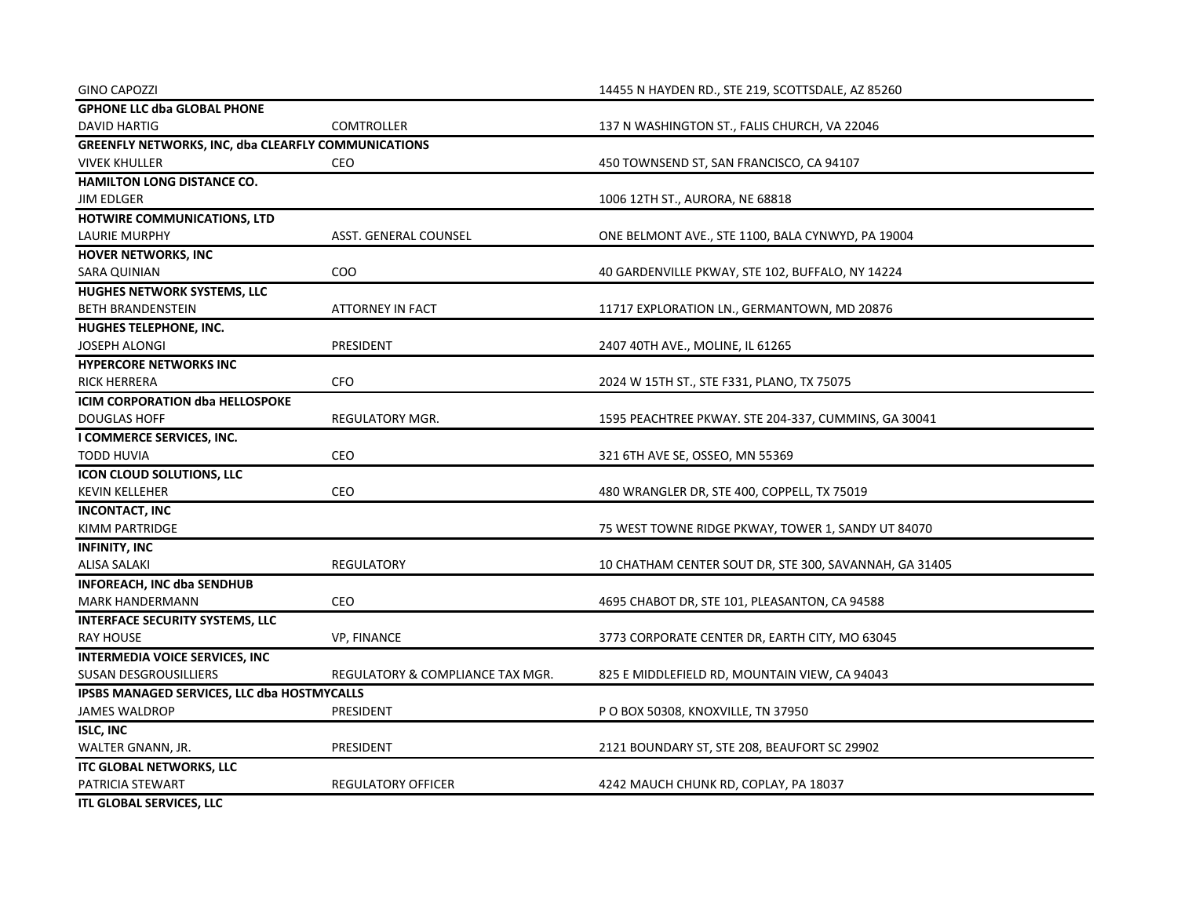| <b>GINO CAPOZZI</b>                                        |                                  | 14455 N HAYDEN RD., STE 219, SCOTTSDALE, AZ 85260      |
|------------------------------------------------------------|----------------------------------|--------------------------------------------------------|
| <b>GPHONE LLC dba GLOBAL PHONE</b>                         |                                  |                                                        |
| <b>DAVID HARTIG</b>                                        | COMTROLLER                       | 137 N WASHINGTON ST., FALIS CHURCH, VA 22046           |
| <b>GREENFLY NETWORKS, INC, dba CLEARFLY COMMUNICATIONS</b> |                                  |                                                        |
| <b>VIVEK KHULLER</b>                                       | CEO                              | 450 TOWNSEND ST, SAN FRANCISCO, CA 94107               |
| HAMILTON LONG DISTANCE CO.                                 |                                  |                                                        |
| <b>JIM EDLGER</b>                                          |                                  | 1006 12TH ST., AURORA, NE 68818                        |
| HOTWIRE COMMUNICATIONS, LTD                                |                                  |                                                        |
| <b>LAURIE MURPHY</b>                                       | ASST. GENERAL COUNSEL            | ONE BELMONT AVE., STE 1100, BALA CYNWYD, PA 19004      |
| <b>HOVER NETWORKS, INC</b>                                 |                                  |                                                        |
| <b>SARA QUINIAN</b>                                        | CO <sub>O</sub>                  | 40 GARDENVILLE PKWAY, STE 102, BUFFALO, NY 14224       |
| HUGHES NETWORK SYSTEMS, LLC                                |                                  |                                                        |
| <b>BETH BRANDENSTEIN</b>                                   | <b>ATTORNEY IN FACT</b>          | 11717 EXPLORATION LN., GERMANTOWN, MD 20876            |
| HUGHES TELEPHONE, INC.                                     |                                  |                                                        |
| <b>JOSEPH ALONGI</b>                                       | PRESIDENT                        | 2407 40TH AVE., MOLINE, IL 61265                       |
| <b>HYPERCORE NETWORKS INC</b>                              |                                  |                                                        |
| <b>RICK HERRERA</b>                                        | <b>CFO</b>                       | 2024 W 15TH ST., STE F331, PLANO, TX 75075             |
| <b>ICIM CORPORATION dba HELLOSPOKE</b>                     |                                  |                                                        |
| <b>DOUGLAS HOFF</b>                                        | REGULATORY MGR.                  | 1595 PEACHTREE PKWAY. STE 204-337, CUMMINS, GA 30041   |
| I COMMERCE SERVICES, INC.                                  |                                  |                                                        |
| <b>TODD HUVIA</b>                                          | CEO                              | 321 6TH AVE SE, OSSEO, MN 55369                        |
| ICON CLOUD SOLUTIONS, LLC                                  |                                  |                                                        |
| <b>KEVIN KELLEHER</b>                                      | <b>CEO</b>                       | 480 WRANGLER DR, STE 400, COPPELL, TX 75019            |
| <b>INCONTACT, INC</b>                                      |                                  |                                                        |
| KIMM PARTRIDGE                                             |                                  | 75 WEST TOWNE RIDGE PKWAY, TOWER 1, SANDY UT 84070     |
| <b>INFINITY, INC</b>                                       |                                  |                                                        |
| <b>ALISA SALAKI</b>                                        | REGULATORY                       | 10 CHATHAM CENTER SOUT DR, STE 300, SAVANNAH, GA 31405 |
| <b>INFOREACH, INC dba SENDHUB</b>                          |                                  |                                                        |
| <b>MARK HANDERMANN</b>                                     | CEO                              | 4695 CHABOT DR, STE 101, PLEASANTON, CA 94588          |
| <b>INTERFACE SECURITY SYSTEMS, LLC</b>                     |                                  |                                                        |
| RAY HOUSE                                                  | VP, FINANCE                      | 3773 CORPORATE CENTER DR, EARTH CITY, MO 63045         |
| <b>INTERMEDIA VOICE SERVICES, INC</b>                      |                                  |                                                        |
| SUSAN DESGROUSILLIERS                                      | REGULATORY & COMPLIANCE TAX MGR. | 825 E MIDDLEFIELD RD, MOUNTAIN VIEW, CA 94043          |
| IPSBS MANAGED SERVICES, LLC dba HOSTMYCALLS                |                                  |                                                        |
| <b>JAMES WALDROP</b>                                       | PRESIDENT                        | P O BOX 50308, KNOXVILLE, TN 37950                     |
| <b>ISLC, INC</b>                                           |                                  |                                                        |
| WALTER GNANN, JR.                                          | PRESIDENT                        | 2121 BOUNDARY ST, STE 208, BEAUFORT SC 29902           |
| <b>ITC GLOBAL NETWORKS, LLC</b>                            |                                  |                                                        |
| PATRICIA STEWART                                           | <b>REGULATORY OFFICER</b>        | 4242 MAUCH CHUNK RD, COPLAY, PA 18037                  |
| ITL GLOBAL SERVICES, LLC                                   |                                  |                                                        |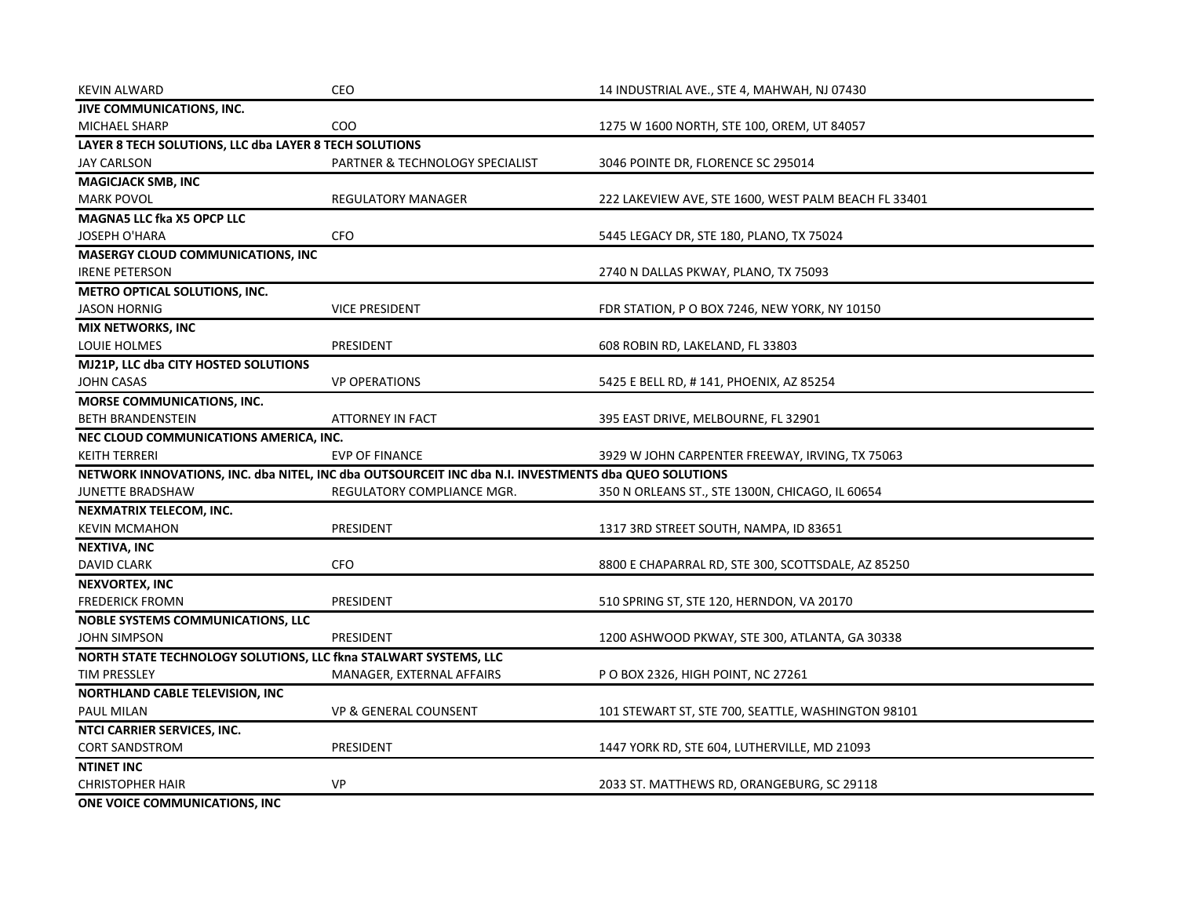| <b>KEVIN ALWARD</b>                                              | CEO                                                                                                  | 14 INDUSTRIAL AVE., STE 4, MAHWAH, NJ 07430          |
|------------------------------------------------------------------|------------------------------------------------------------------------------------------------------|------------------------------------------------------|
| JIVE COMMUNICATIONS, INC.                                        |                                                                                                      |                                                      |
| MICHAEL SHARP                                                    | COO                                                                                                  | 1275 W 1600 NORTH, STE 100, OREM, UT 84057           |
| LAYER 8 TECH SOLUTIONS, LLC dba LAYER 8 TECH SOLUTIONS           |                                                                                                      |                                                      |
| <b>JAY CARLSON</b>                                               | PARTNER & TECHNOLOGY SPECIALIST                                                                      | 3046 POINTE DR, FLORENCE SC 295014                   |
| <b>MAGICJACK SMB, INC</b>                                        |                                                                                                      |                                                      |
| <b>MARK POVOL</b>                                                | <b>REGULATORY MANAGER</b>                                                                            | 222 LAKEVIEW AVE, STE 1600, WEST PALM BEACH FL 33401 |
| <b>MAGNA5 LLC fka X5 OPCP LLC</b>                                |                                                                                                      |                                                      |
| <b>JOSEPH O'HARA</b>                                             | <b>CFO</b>                                                                                           | 5445 LEGACY DR, STE 180, PLANO, TX 75024             |
| <b>MASERGY CLOUD COMMUNICATIONS, INC</b>                         |                                                                                                      |                                                      |
| <b>IRENE PETERSON</b>                                            |                                                                                                      | 2740 N DALLAS PKWAY, PLANO, TX 75093                 |
| METRO OPTICAL SOLUTIONS, INC.                                    |                                                                                                      |                                                      |
| <b>JASON HORNIG</b>                                              | <b>VICE PRESIDENT</b>                                                                                | FDR STATION, P O BOX 7246, NEW YORK, NY 10150        |
| <b>MIX NETWORKS, INC</b>                                         |                                                                                                      |                                                      |
| LOUIE HOLMES                                                     | PRESIDENT                                                                                            | 608 ROBIN RD, LAKELAND, FL 33803                     |
| MJ21P, LLC dba CITY HOSTED SOLUTIONS                             |                                                                                                      |                                                      |
| <b>JOHN CASAS</b>                                                | <b>VP OPERATIONS</b>                                                                                 | 5425 E BELL RD, #141, PHOENIX, AZ 85254              |
| MORSE COMMUNICATIONS, INC.                                       |                                                                                                      |                                                      |
| <b>BETH BRANDENSTEIN</b>                                         | <b>ATTORNEY IN FACT</b>                                                                              | 395 EAST DRIVE, MELBOURNE, FL 32901                  |
| NEC CLOUD COMMUNICATIONS AMERICA, INC.                           |                                                                                                      |                                                      |
| <b>KEITH TERRERI</b>                                             | <b>EVP OF FINANCE</b>                                                                                | 3929 W JOHN CARPENTER FREEWAY, IRVING, TX 75063      |
|                                                                  | NETWORK INNOVATIONS, INC. dba NITEL, INC dba OUTSOURCEIT INC dba N.I. INVESTMENTS dba QUEO SOLUTIONS |                                                      |
| JUNETTE BRADSHAW                                                 | REGULATORY COMPLIANCE MGR.                                                                           | 350 N ORLEANS ST., STE 1300N, CHICAGO, IL 60654      |
| NEXMATRIX TELECOM, INC.                                          |                                                                                                      |                                                      |
| <b>KEVIN MCMAHON</b>                                             | PRESIDENT                                                                                            | 1317 3RD STREET SOUTH, NAMPA, ID 83651               |
| NEXTIVA, INC                                                     |                                                                                                      |                                                      |
| <b>DAVID CLARK</b>                                               | <b>CFO</b>                                                                                           | 8800 E CHAPARRAL RD, STE 300, SCOTTSDALE, AZ 85250   |
| <b>NEXVORTEX, INC</b>                                            |                                                                                                      |                                                      |
| <b>FREDERICK FROMN</b>                                           | PRESIDENT                                                                                            | 510 SPRING ST, STE 120, HERNDON, VA 20170            |
| <b>NOBLE SYSTEMS COMMUNICATIONS, LLC</b>                         |                                                                                                      |                                                      |
| JOHN SIMPSON                                                     | PRESIDENT                                                                                            | 1200 ASHWOOD PKWAY, STE 300, ATLANTA, GA 30338       |
| NORTH STATE TECHNOLOGY SOLUTIONS, LLC fkna STALWART SYSTEMS, LLC |                                                                                                      |                                                      |
| <b>TIM PRESSLEY</b>                                              | MANAGER, EXTERNAL AFFAIRS                                                                            | P O BOX 2326, HIGH POINT, NC 27261                   |
| NORTHLAND CABLE TELEVISION, INC                                  |                                                                                                      |                                                      |
| PAUL MILAN                                                       | VP & GENERAL COUNSENT                                                                                | 101 STEWART ST, STE 700, SEATTLE, WASHINGTON 98101   |
| NTCI CARRIER SERVICES, INC.                                      |                                                                                                      |                                                      |
| <b>CORT SANDSTROM</b>                                            | PRESIDENT                                                                                            | 1447 YORK RD, STE 604, LUTHERVILLE, MD 21093         |
| <b>NTINET INC</b>                                                |                                                                                                      |                                                      |
| <b>CHRISTOPHER HAIR</b>                                          | VP                                                                                                   | 2033 ST. MATTHEWS RD, ORANGEBURG, SC 29118           |
| ONE VOICE COMMUNICATIONS, INC                                    |                                                                                                      |                                                      |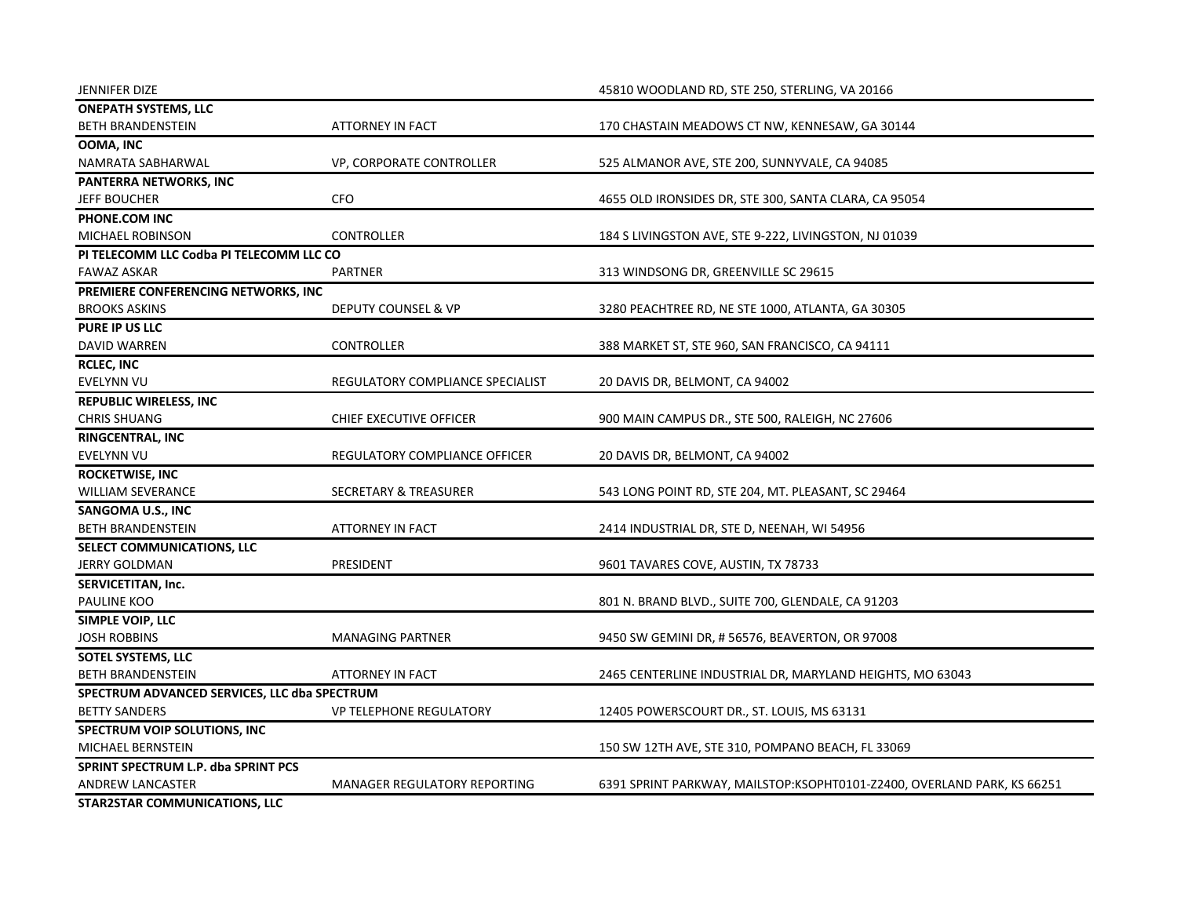| <b>JENNIFER DIZE</b>                         |                                  | 45810 WOODLAND RD, STE 250, STERLING, VA 20166                          |
|----------------------------------------------|----------------------------------|-------------------------------------------------------------------------|
| <b>ONEPATH SYSTEMS, LLC</b>                  |                                  |                                                                         |
| <b>BETH BRANDENSTEIN</b>                     | ATTORNEY IN FACT                 | 170 CHASTAIN MEADOWS CT NW, KENNESAW, GA 30144                          |
| <b>OOMA, INC</b>                             |                                  |                                                                         |
| NAMRATA SABHARWAL                            | VP, CORPORATE CONTROLLER         | 525 ALMANOR AVE, STE 200, SUNNYVALE, CA 94085                           |
| PANTERRA NETWORKS, INC                       |                                  |                                                                         |
| <b>JEFF BOUCHER</b>                          | CFO                              | 4655 OLD IRONSIDES DR, STE 300, SANTA CLARA, CA 95054                   |
| PHONE.COM INC                                |                                  |                                                                         |
| MICHAEL ROBINSON                             | <b>CONTROLLER</b>                | 184 S LIVINGSTON AVE, STE 9-222, LIVINGSTON, NJ 01039                   |
| PI TELECOMM LLC Codba PI TELECOMM LLC CO     |                                  |                                                                         |
| <b>FAWAZ ASKAR</b>                           | <b>PARTNER</b>                   | 313 WINDSONG DR, GREENVILLE SC 29615                                    |
| PREMIERE CONFERENCING NETWORKS, INC          |                                  |                                                                         |
| BROOKS ASKINS                                | DEPUTY COUNSEL & VP              | 3280 PEACHTREE RD, NE STE 1000, ATLANTA, GA 30305                       |
| PURE IP US LLC                               |                                  |                                                                         |
| <b>DAVID WARREN</b>                          | <b>CONTROLLER</b>                | 388 MARKET ST, STE 960, SAN FRANCISCO, CA 94111                         |
| <b>RCLEC, INC</b>                            |                                  |                                                                         |
| EVELYNN VU                                   | REGULATORY COMPLIANCE SPECIALIST | 20 DAVIS DR, BELMONT, CA 94002                                          |
| <b>REPUBLIC WIRELESS, INC</b>                |                                  |                                                                         |
| <b>CHRIS SHUANG</b>                          | CHIEF EXECUTIVE OFFICER          | 900 MAIN CAMPUS DR., STE 500, RALEIGH, NC 27606                         |
| RINGCENTRAL, INC                             |                                  |                                                                         |
| <b>EVELYNN VU</b>                            | REGULATORY COMPLIANCE OFFICER    | 20 DAVIS DR, BELMONT, CA 94002                                          |
| <b>ROCKETWISE, INC</b>                       |                                  |                                                                         |
| <b>WILLIAM SEVERANCE</b>                     | <b>SECRETARY &amp; TREASURER</b> | 543 LONG POINT RD, STE 204, MT. PLEASANT, SC 29464                      |
| SANGOMA U.S., INC                            |                                  |                                                                         |
| <b>BETH BRANDENSTEIN</b>                     | <b>ATTORNEY IN FACT</b>          | 2414 INDUSTRIAL DR, STE D, NEENAH, WI 54956                             |
| SELECT COMMUNICATIONS, LLC                   |                                  |                                                                         |
| <b>JERRY GOLDMAN</b>                         | PRESIDENT                        | 9601 TAVARES COVE, AUSTIN, TX 78733                                     |
| SERVICETITAN, Inc.                           |                                  |                                                                         |
| PAULINE KOO                                  |                                  | 801 N. BRAND BLVD., SUITE 700, GLENDALE, CA 91203                       |
| SIMPLE VOIP, LLC                             |                                  |                                                                         |
| <b>JOSH ROBBINS</b>                          | <b>MANAGING PARTNER</b>          | 9450 SW GEMINI DR, #56576, BEAVERTON, OR 97008                          |
| SOTEL SYSTEMS, LLC                           |                                  |                                                                         |
| <b>BETH BRANDENSTEIN</b>                     | ATTORNEY IN FACT                 | 2465 CENTERLINE INDUSTRIAL DR, MARYLAND HEIGHTS, MO 63043               |
| SPECTRUM ADVANCED SERVICES, LLC dba SPECTRUM |                                  |                                                                         |
| <b>BETTY SANDERS</b>                         | <b>VP TELEPHONE REGULATORY</b>   | 12405 POWERSCOURT DR., ST. LOUIS, MS 63131                              |
| SPECTRUM VOIP SOLUTIONS, INC                 |                                  |                                                                         |
| MICHAEL BERNSTEIN                            |                                  | 150 SW 12TH AVE, STE 310, POMPANO BEACH, FL 33069                       |
| <b>SPRINT SPECTRUM L.P. dba SPRINT PCS</b>   |                                  |                                                                         |
| <b>ANDREW LANCASTER</b>                      | MANAGER REGULATORY REPORTING     | 6391 SPRINT PARKWAY, MAILSTOP:KSOPHT0101-Z2400, OVERLAND PARK, KS 66251 |
| STAR2STAR COMMUNICATIONS, LLC                |                                  |                                                                         |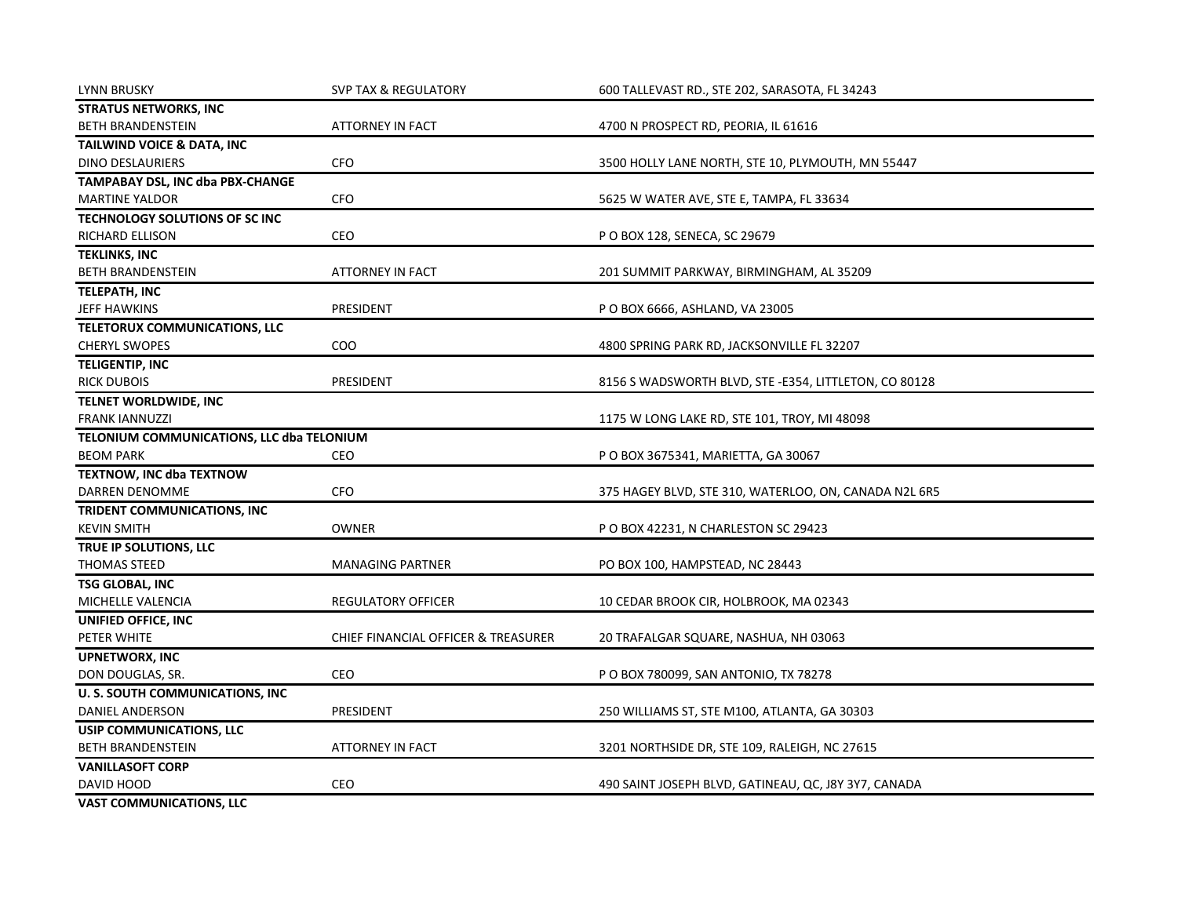| <b>LYNN BRUSKY</b>                        | <b>SVP TAX &amp; REGULATORY</b>     | 600 TALLEVAST RD., STE 202, SARASOTA, FL 34243        |
|-------------------------------------------|-------------------------------------|-------------------------------------------------------|
| <b>STRATUS NETWORKS, INC</b>              |                                     |                                                       |
| <b>BETH BRANDENSTEIN</b>                  | <b>ATTORNEY IN FACT</b>             | 4700 N PROSPECT RD, PEORIA, IL 61616                  |
| TAILWIND VOICE & DATA, INC                |                                     |                                                       |
| <b>DINO DESLAURIERS</b>                   | <b>CFO</b>                          | 3500 HOLLY LANE NORTH, STE 10, PLYMOUTH, MN 55447     |
| TAMPABAY DSL, INC dba PBX-CHANGE          |                                     |                                                       |
| <b>MARTINE YALDOR</b>                     | CFO                                 | 5625 W WATER AVE, STE E, TAMPA, FL 33634              |
| TECHNOLOGY SOLUTIONS OF SC INC            |                                     |                                                       |
| RICHARD ELLISON                           | <b>CEO</b>                          | P O BOX 128, SENECA, SC 29679                         |
| <b>TEKLINKS, INC</b>                      |                                     |                                                       |
| <b>BETH BRANDENSTEIN</b>                  | <b>ATTORNEY IN FACT</b>             | 201 SUMMIT PARKWAY, BIRMINGHAM, AL 35209              |
| <b>TELEPATH, INC</b>                      |                                     |                                                       |
| <b>JEFF HAWKINS</b>                       | PRESIDENT                           | P O BOX 6666, ASHLAND, VA 23005                       |
| TELETORUX COMMUNICATIONS, LLC             |                                     |                                                       |
| <b>CHERYL SWOPES</b>                      | COO                                 | 4800 SPRING PARK RD, JACKSONVILLE FL 32207            |
| <b>TELIGENTIP, INC</b>                    |                                     |                                                       |
| <b>RICK DUBOIS</b>                        | PRESIDENT                           | 8156 S WADSWORTH BLVD, STE -E354, LITTLETON, CO 80128 |
| TELNET WORLDWIDE, INC                     |                                     |                                                       |
| <b>FRANK IANNUZZI</b>                     |                                     | 1175 W LONG LAKE RD, STE 101, TROY, MI 48098          |
| TELONIUM COMMUNICATIONS, LLC dba TELONIUM |                                     |                                                       |
| <b>BEOM PARK</b>                          | CEO                                 | P O BOX 3675341, MARIETTA, GA 30067                   |
| <b>TEXTNOW, INC dba TEXTNOW</b>           |                                     |                                                       |
| DARREN DENOMME                            | CFO                                 | 375 HAGEY BLVD, STE 310, WATERLOO, ON, CANADA N2L 6R5 |
| TRIDENT COMMUNICATIONS, INC               |                                     |                                                       |
| <b>KEVIN SMITH</b>                        | <b>OWNER</b>                        | P O BOX 42231, N CHARLESTON SC 29423                  |
| TRUE IP SOLUTIONS, LLC                    |                                     |                                                       |
| <b>THOMAS STEED</b>                       | <b>MANAGING PARTNER</b>             | PO BOX 100, HAMPSTEAD, NC 28443                       |
| <b>TSG GLOBAL, INC</b>                    |                                     |                                                       |
| MICHELLE VALENCIA                         | <b>REGULATORY OFFICER</b>           | 10 CEDAR BROOK CIR, HOLBROOK, MA 02343                |
| UNIFIED OFFICE, INC                       |                                     |                                                       |
| PETER WHITE                               | CHIEF FINANCIAL OFFICER & TREASURER | 20 TRAFALGAR SQUARE, NASHUA, NH 03063                 |
| <b>UPNETWORX, INC</b>                     |                                     |                                                       |
| DON DOUGLAS, SR.                          | CEO                                 | P O BOX 780099, SAN ANTONIO, TX 78278                 |
| <b>U. S. SOUTH COMMUNICATIONS, INC</b>    |                                     |                                                       |
| DANIEL ANDERSON                           | PRESIDENT                           | 250 WILLIAMS ST, STE M100, ATLANTA, GA 30303          |
| <b>USIP COMMUNICATIONS, LLC</b>           |                                     |                                                       |
| BETH BRANDENSTEIN                         | <b>ATTORNEY IN FACT</b>             | 3201 NORTHSIDE DR, STE 109, RALEIGH, NC 27615         |
| <b>VANILLASOFT CORP</b>                   |                                     |                                                       |
| DAVID HOOD                                | CEO                                 | 490 SAINT JOSEPH BLVD, GATINEAU, QC, J8Y 3Y7, CANADA  |
| <b>VAST COMMUNICATIONS, LLC</b>           |                                     |                                                       |